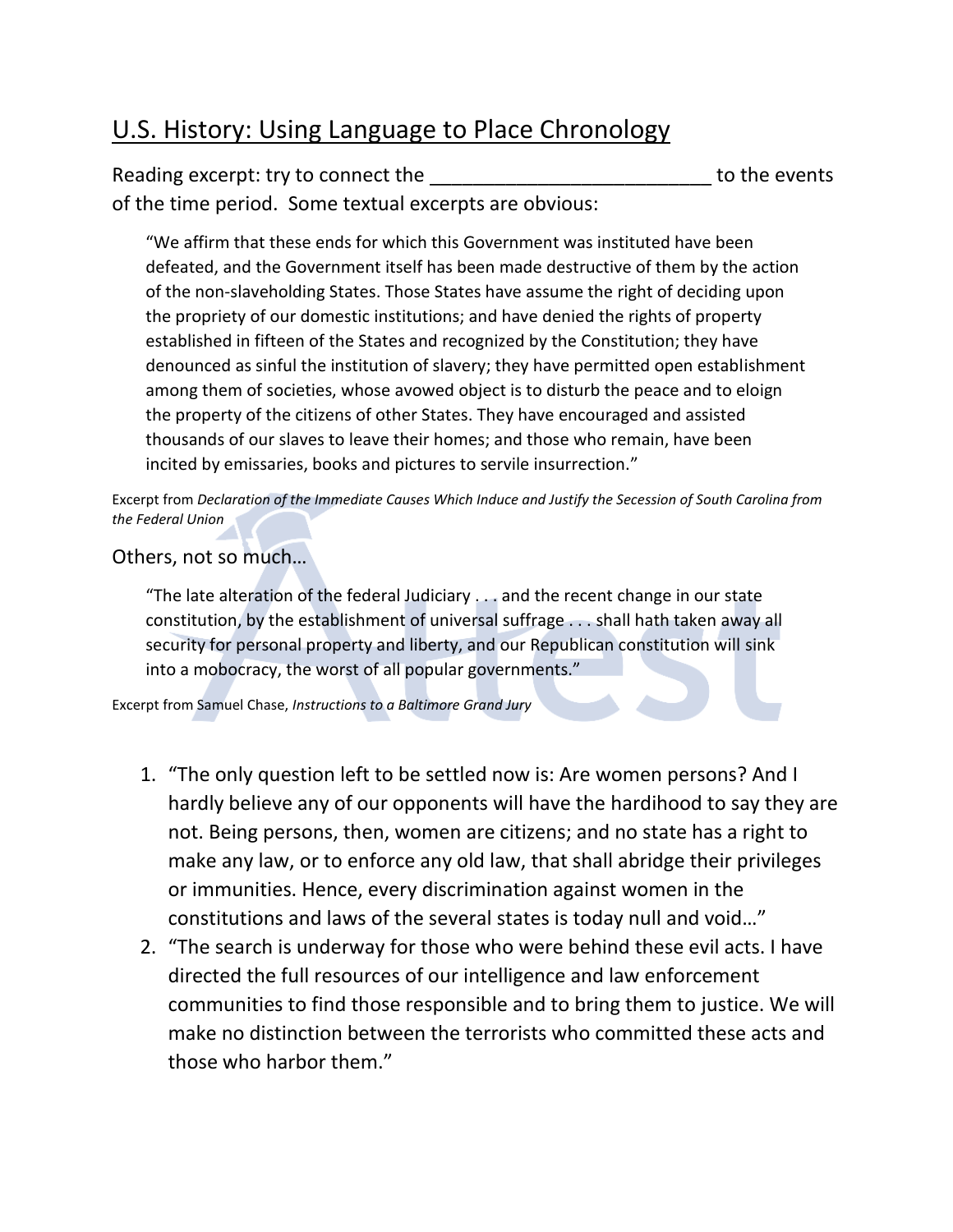## U.S. History: Using Language to Place Chronology

## Reading excerpt: try to connect the events and the second to the events of the time period. Some textual excerpts are obvious:

"We affirm that these ends for which this Government was instituted have been defeated, and the Government itself has been made destructive of them by the action of the non-slaveholding States. Those States have assume the right of deciding upon the propriety of our domestic institutions; and have denied the rights of property established in fifteen of the States and recognized by the Constitution; they have denounced as sinful the institution of slavery; they have permitted open establishment among them of societies, whose avowed object is to disturb the peace and to eloign the property of the citizens of other States. They have encouraged and assisted thousands of our slaves to leave their homes; and those who remain, have been incited by emissaries, books and pictures to servile insurrection."

Excerpt from *Declaration of the Immediate Causes Which Induce and Justify the Secession of South Carolina from the Federal Union*

## Others, not so much…

"The late alteration of the federal Judiciary . . . and the recent change in our state constitution, by the establishment of universal suffrage . . . shall hath taken away all security for personal property and liberty, and our Republican constitution will sink into a mobocracy, the worst of all popular governments."

Excerpt from Samuel Chase, *Instructions to a Baltimore Grand Jury*

- 1. "The only question left to be settled now is: Are women persons? And I hardly believe any of our opponents will have the hardihood to say they are not. Being persons, then, women are citizens; and no state has a right to make any law, or to enforce any old law, that shall abridge their privileges or immunities. Hence, every discrimination against women in the constitutions and laws of the several states is today null and void…"
- 2. "The search is underway for those who were behind these evil acts. I have directed the full resources of our intelligence and law enforcement communities to find those responsible and to bring them to justice. We will make no distinction between the terrorists who committed these acts and those who harbor them."